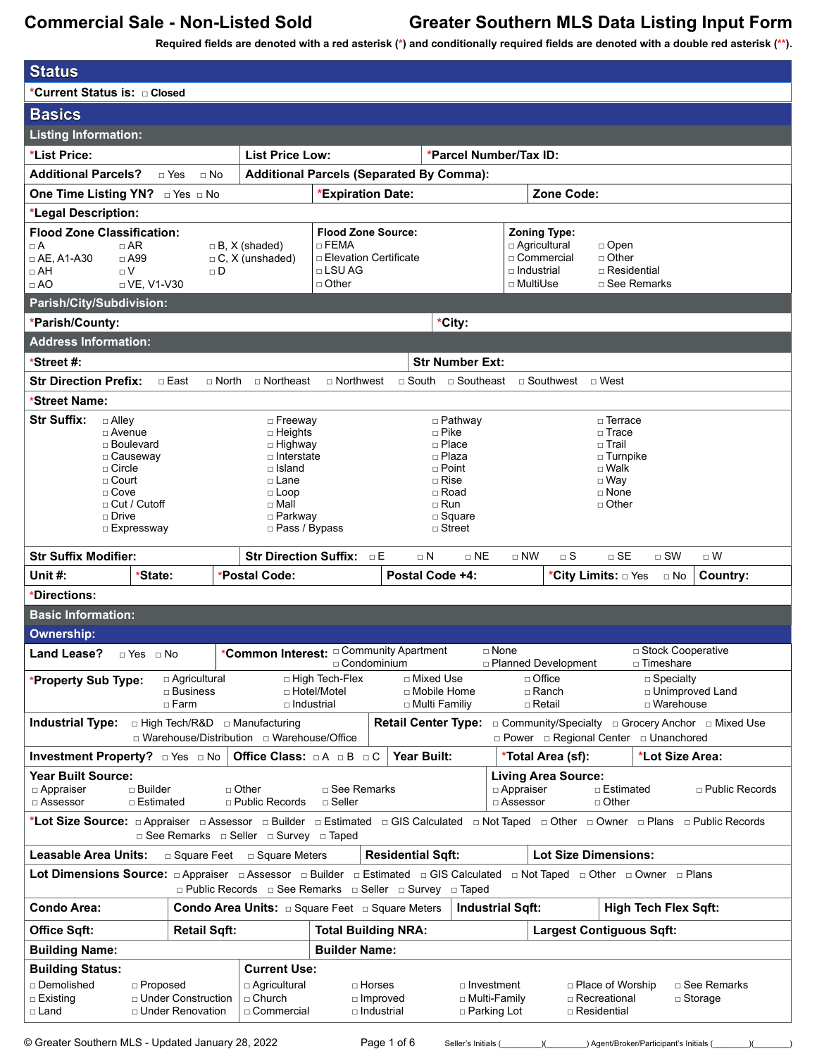|                                                                                                | <b>Status</b>                              |                                                  |                                                                  |                                                          |                                                                |                                                                                                                                              |  |
|------------------------------------------------------------------------------------------------|--------------------------------------------|--------------------------------------------------|------------------------------------------------------------------|----------------------------------------------------------|----------------------------------------------------------------|----------------------------------------------------------------------------------------------------------------------------------------------|--|
| *Current Status is:  ⊓ Closed                                                                  |                                            |                                                  |                                                                  |                                                          |                                                                |                                                                                                                                              |  |
| <b>Basics</b>                                                                                  |                                            |                                                  |                                                                  |                                                          |                                                                |                                                                                                                                              |  |
| <b>Listing Information:</b>                                                                    |                                            |                                                  |                                                                  |                                                          |                                                                |                                                                                                                                              |  |
| *List Price:                                                                                   |                                            | <b>List Price Low:</b><br>*Parcel Number/Tax ID: |                                                                  |                                                          |                                                                |                                                                                                                                              |  |
| <b>Additional Parcels?</b>                                                                     | $\sqcap$ Yes<br>$\sqcap$ No                |                                                  |                                                                  | <b>Additional Parcels (Separated By Comma):</b>          |                                                                |                                                                                                                                              |  |
| One Time Listing YN? Dives DNo                                                                 |                                            |                                                  | *Expiration Date:                                                |                                                          | Zone Code:                                                     |                                                                                                                                              |  |
| *Legal Description:                                                                            |                                            |                                                  |                                                                  |                                                          |                                                                |                                                                                                                                              |  |
| <b>Flood Zone Classification:</b>                                                              |                                            |                                                  | <b>Flood Zone Source:</b>                                        |                                                          | <b>Zoning Type:</b>                                            |                                                                                                                                              |  |
| $\Box A$<br>$\Box$ AR<br>$\Box$ AE, A1-A30<br>$\Box$ A99                                       |                                            | $\Box$ B, X (shaded)<br>$\Box$ C, X (unshaded)   | $\sqcap$ FEMA<br>□ Elevation Certificate                         |                                                          | □ Agricultural<br>□ Commercial                                 | $\Box$ Open<br>$\Box$ Other                                                                                                                  |  |
| $\Box$ AH<br>$\neg V$                                                                          | $\sqcap$ D                                 |                                                  | $\Box$ LSU AG                                                    |                                                          | $\Box$ Industrial                                              | □ Residential                                                                                                                                |  |
| $\Box$ AO<br>$\Box$ VE, V1-V30                                                                 |                                            |                                                  | $\Box$ Other                                                     |                                                          | □ MultiUse                                                     | □ See Remarks                                                                                                                                |  |
| Parish/City/Subdivision:                                                                       |                                            |                                                  |                                                                  |                                                          |                                                                |                                                                                                                                              |  |
| *Parish/County:                                                                                |                                            |                                                  |                                                                  | *City:                                                   |                                                                |                                                                                                                                              |  |
| <b>Address Information:</b>                                                                    |                                            |                                                  |                                                                  |                                                          |                                                                |                                                                                                                                              |  |
| *Street #:                                                                                     |                                            |                                                  |                                                                  | <b>Str Number Ext:</b>                                   |                                                                |                                                                                                                                              |  |
| <b>Str Direction Prefix:</b>                                                                   | $\Box$ East                                | $\Box$ North $\Box$ Northeast                    | $\Box$ Northwest                                                 | □ South □ Southeast □ Southwest □ West                   |                                                                |                                                                                                                                              |  |
| *Street Name:                                                                                  |                                            |                                                  |                                                                  |                                                          |                                                                |                                                                                                                                              |  |
| <b>Str Suffix:</b><br>$\Box$ Alley<br>$\Box$ Avenue                                            |                                            | □ Freeway<br>□ Heights                           |                                                                  | □ Pathway<br>$\Box$ Pike                                 |                                                                | $\sqcap$ Terrace<br>$\sqcap$ Trace                                                                                                           |  |
| □ Boulevard<br>□ Causeway                                                                      |                                            | □ Highway<br>□ Interstate                        |                                                                  | $\Box$ Place<br>□ Plaza                                  |                                                                | $\sqcap$ Trail<br>□ Turnpike                                                                                                                 |  |
| $\Box$ Circle                                                                                  |                                            | □ Island                                         |                                                                  | $\Box$ Point                                             |                                                                | $\square$ Walk                                                                                                                               |  |
| $\Box$ Court<br>$\Box$ Cove                                                                    |                                            | □ Lane<br>$\Box$ Loop                            |                                                                  | $\Box$ Rise<br>$\Box$ Road                               |                                                                | □ Way<br>□ None                                                                                                                              |  |
| $\Box$ Cut / Cutoff                                                                            |                                            | $\Box$ Mall                                      |                                                                  | $\Box$ Run                                               |                                                                | $\Box$ Other                                                                                                                                 |  |
| $\Box$ Drive<br>□ Expressway                                                                   |                                            | □ Parkway<br>□ Pass / Bypass                     |                                                                  | □ Square<br>$\Box$ Street                                |                                                                |                                                                                                                                              |  |
| <b>Str Suffix Modifier:</b>                                                                    |                                            |                                                  | Str Direction Suffix: DE                                         |                                                          |                                                                |                                                                                                                                              |  |
| Unit $#$ :<br>*State:                                                                          |                                            | *Postal Code:                                    |                                                                  | $\Box$ N<br>$\sqcap$ NE<br>Postal Code +4:               | $\Box$ S<br>$\Box$ NW                                          | $\Box$ SE<br>$\Box$ SW<br>$\Box$ W<br><b>Country:</b><br>*City Limits: DYes<br>$\Box$ No                                                     |  |
| *Directions:                                                                                   |                                            |                                                  |                                                                  |                                                          |                                                                |                                                                                                                                              |  |
| <b>Basic Information:</b>                                                                      |                                            |                                                  |                                                                  |                                                          |                                                                |                                                                                                                                              |  |
|                                                                                                |                                            |                                                  |                                                                  |                                                          |                                                                |                                                                                                                                              |  |
|                                                                                                |                                            |                                                  |                                                                  |                                                          |                                                                |                                                                                                                                              |  |
| <b>Ownership:</b><br><b>Land Lease?</b> $\Box$ Yes $\Box$ No                                   |                                            |                                                  | *Common Interest: Community Apartment                            |                                                          | □ None                                                         | □ Stock Cooperative                                                                                                                          |  |
|                                                                                                |                                            |                                                  | □ Condominium                                                    |                                                          | □ Planned Development                                          | □ Timeshare                                                                                                                                  |  |
| *Property Sub Type:                                                                            | □ Agricultural<br>$\square$ Business       |                                                  | □ High Tech-Flex<br>□ Hotel/Motel                                | □ Mixed Use<br>□ Mobile Home                             | $\Box$ Office<br>□ Ranch                                       | $\square$ Specialty<br>□ Unimproved Land                                                                                                     |  |
|                                                                                                | $\Box$ Farm                                | □ Industrial                                     |                                                                  | □ Multi Familiy                                          | $\Box$ Retail                                                  | □ Warehouse                                                                                                                                  |  |
| <b>Industrial Type:</b>                                                                        | □ High Tech/R&D □ Manufacturing            |                                                  |                                                                  |                                                          |                                                                | <b>Retail Center Type:</b> $\Box$ Community/Specialty $\Box$ Grocery Anchor $\Box$ Mixed Use                                                 |  |
|                                                                                                |                                            | □ Warehouse/Distribution □ Warehouse/Office      |                                                                  |                                                          |                                                                | □ Power □ Regional Center □ Unanchored                                                                                                       |  |
| <b>Investment Property?</b> $\Box$ Yes $\Box$ No                                               |                                            | Office Class: $\Box A \Box B \Box C$             |                                                                  | Year Built:                                              | *Total Area (sf):                                              | *Lot Size Area:                                                                                                                              |  |
| <b>Year Built Source:</b><br>□ Builder<br>$\Box$ Appraiser<br>□ Estimated<br>$\sqcap$ Assessor |                                            | $\Box$ Other<br>$\sqcap$ Public Records          | □ See Remarks<br>$\sqcap$ Seller                                 |                                                          | <b>Living Area Source:</b><br>□ Appraiser<br>$\sqcap$ Assessor | □ Estimated<br>□ Public Records<br>$\Box$ Other                                                                                              |  |
|                                                                                                |                                            | □ See Remarks □ Seller □ Survey □ Taped          |                                                                  |                                                          |                                                                | * <b>Lot Size Source:</b> □ Appraiser □ Assessor □ Builder □ Estimated □ GIS Calculated □ Not Taped □ Other □ Owner □ Plans □ Public Records |  |
| <b>Leasable Area Units:</b>                                                                    | □ Square Feet                              | □ Square Meters                                  |                                                                  | <b>Residential Sqft:</b>                                 | <b>Lot Size Dimensions:</b>                                    |                                                                                                                                              |  |
|                                                                                                |                                            |                                                  |                                                                  | □ Public Records □ See Remarks □ Seller □ Survey □ Taped |                                                                |                                                                                                                                              |  |
| Condo Area:                                                                                    |                                            |                                                  | <b>Condo Area Units:</b> $\Box$ Square Feet $\Box$ Square Meters |                                                          | <b>Industrial Sqft:</b>                                        | <b>High Tech Flex Sqft:</b>                                                                                                                  |  |
| <b>Office Sqft:</b>                                                                            | <b>Retail Sqft:</b>                        |                                                  | <b>Total Building NRA:</b>                                       |                                                          |                                                                | <b>Largest Contiguous Sqft:</b>                                                                                                              |  |
| <b>Building Name:</b>                                                                          |                                            |                                                  | <b>Builder Name:</b>                                             |                                                          |                                                                |                                                                                                                                              |  |
| <b>Building Status:</b>                                                                        |                                            | <b>Current Use:</b>                              |                                                                  |                                                          |                                                                |                                                                                                                                              |  |
| □ Demolished<br>□ Proposed                                                                     |                                            | □ Agricultural                                   | □ Horses                                                         | $\Box$ Investment                                        |                                                                | □ See Remarks<br>□ Place of Worship                                                                                                          |  |
| □ Existing<br>□ Land                                                                           | □ Under Construction<br>□ Under Renovation | $\Box$ Church<br>□ Commercial                    | $\Box$ Improved<br>□ Industrial                                  | □ Multi-Family<br>□ Parking Lot                          |                                                                | □ Recreational<br>$\Box$ Storage<br>□ Residential                                                                                            |  |
| © Greater Southern MLS - Updated January 28, 2022                                              |                                            |                                                  | Page 1 of 6                                                      |                                                          |                                                                |                                                                                                                                              |  |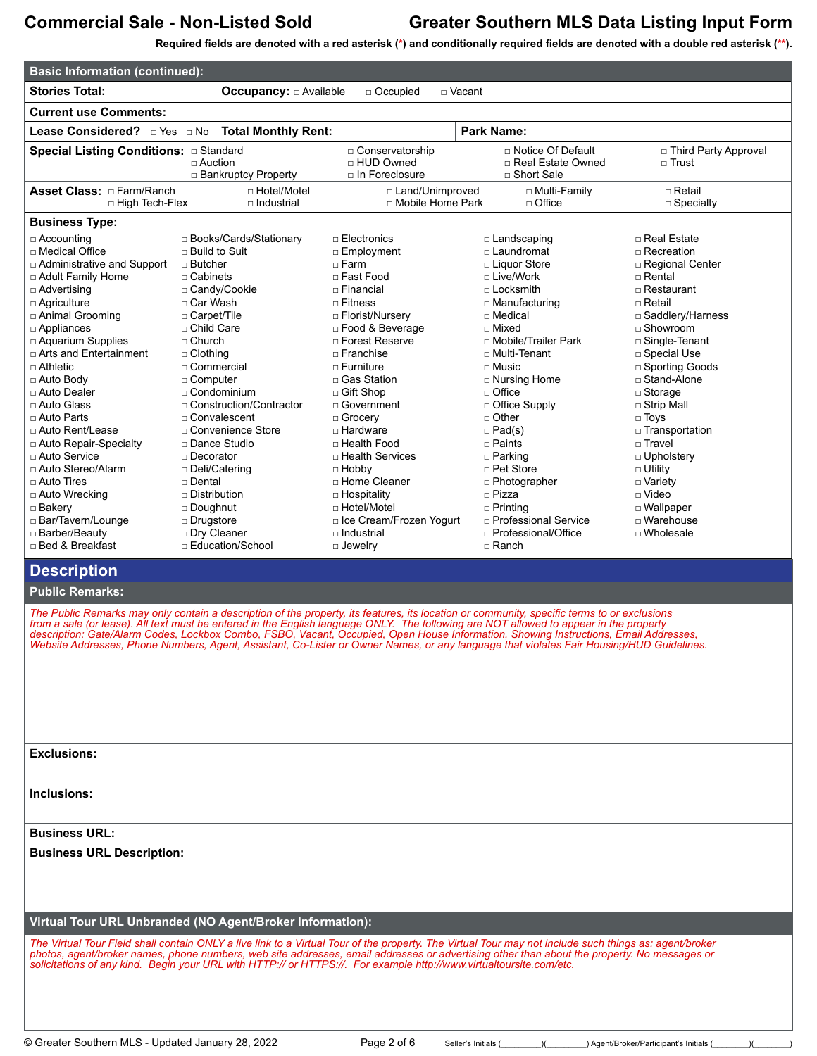**Required fields are denoted with a red asterisk (\*) and conditionally required fields are denoted with a double red asterisk (\*\*).**

| <b>Basic Information (continued):</b>                                                                                                                                                                                                                                                                                                                                                                                                                                                                                                                                     |                                                                                                                                                                                                                                                                                                                            |                                                                                                                                                                                |                                                                                                                                                                                                                                                                                                                                                                                                                                                                                          |          |                                                                                                                                                                                                                                                                                                                                                                                                                                                                                         |                                                                                                                                                                                                                                                                                                                                                                                                                                       |
|---------------------------------------------------------------------------------------------------------------------------------------------------------------------------------------------------------------------------------------------------------------------------------------------------------------------------------------------------------------------------------------------------------------------------------------------------------------------------------------------------------------------------------------------------------------------------|----------------------------------------------------------------------------------------------------------------------------------------------------------------------------------------------------------------------------------------------------------------------------------------------------------------------------|--------------------------------------------------------------------------------------------------------------------------------------------------------------------------------|------------------------------------------------------------------------------------------------------------------------------------------------------------------------------------------------------------------------------------------------------------------------------------------------------------------------------------------------------------------------------------------------------------------------------------------------------------------------------------------|----------|-----------------------------------------------------------------------------------------------------------------------------------------------------------------------------------------------------------------------------------------------------------------------------------------------------------------------------------------------------------------------------------------------------------------------------------------------------------------------------------------|---------------------------------------------------------------------------------------------------------------------------------------------------------------------------------------------------------------------------------------------------------------------------------------------------------------------------------------------------------------------------------------------------------------------------------------|
| <b>Stories Total:</b>                                                                                                                                                                                                                                                                                                                                                                                                                                                                                                                                                     |                                                                                                                                                                                                                                                                                                                            | <b>Occupancy:</b> $\Box$ Available                                                                                                                                             | $\Box$ Occupied                                                                                                                                                                                                                                                                                                                                                                                                                                                                          | □ Vacant |                                                                                                                                                                                                                                                                                                                                                                                                                                                                                         |                                                                                                                                                                                                                                                                                                                                                                                                                                       |
| <b>Current use Comments:</b>                                                                                                                                                                                                                                                                                                                                                                                                                                                                                                                                              |                                                                                                                                                                                                                                                                                                                            |                                                                                                                                                                                |                                                                                                                                                                                                                                                                                                                                                                                                                                                                                          |          |                                                                                                                                                                                                                                                                                                                                                                                                                                                                                         |                                                                                                                                                                                                                                                                                                                                                                                                                                       |
| Lease Considered? DYes DNo                                                                                                                                                                                                                                                                                                                                                                                                                                                                                                                                                |                                                                                                                                                                                                                                                                                                                            | <b>Total Monthly Rent:</b>                                                                                                                                                     |                                                                                                                                                                                                                                                                                                                                                                                                                                                                                          |          | <b>Park Name:</b>                                                                                                                                                                                                                                                                                                                                                                                                                                                                       |                                                                                                                                                                                                                                                                                                                                                                                                                                       |
| Special Listing Conditions: D Standard                                                                                                                                                                                                                                                                                                                                                                                                                                                                                                                                    | $\sqcap$ Auction                                                                                                                                                                                                                                                                                                           | □ Bankruptcy Property                                                                                                                                                          | □ Conservatorship<br>□ HUD Owned<br>$\Box$ In Foreclosure                                                                                                                                                                                                                                                                                                                                                                                                                                |          | □ Notice Of Default<br>□ Real Estate Owned<br>□ Short Sale                                                                                                                                                                                                                                                                                                                                                                                                                              | □ Third Party Approval<br>$\sqcap$ Trust                                                                                                                                                                                                                                                                                                                                                                                              |
| $\sqcap$ Hotel/Motel<br>□ High Tech-Flex<br>□ Industrial                                                                                                                                                                                                                                                                                                                                                                                                                                                                                                                  |                                                                                                                                                                                                                                                                                                                            |                                                                                                                                                                                | □ Land/Unimproved<br>□ Mobile Home Park                                                                                                                                                                                                                                                                                                                                                                                                                                                  |          | □ Multi-Familv<br>□ Office                                                                                                                                                                                                                                                                                                                                                                                                                                                              | $\sqcap$ Retail<br>$\Box$ Specialty                                                                                                                                                                                                                                                                                                                                                                                                   |
| <b>Business Type:</b>                                                                                                                                                                                                                                                                                                                                                                                                                                                                                                                                                     |                                                                                                                                                                                                                                                                                                                            |                                                                                                                                                                                |                                                                                                                                                                                                                                                                                                                                                                                                                                                                                          |          |                                                                                                                                                                                                                                                                                                                                                                                                                                                                                         |                                                                                                                                                                                                                                                                                                                                                                                                                                       |
| $\Box$ Accounting<br>□ Medical Office<br>□ Administrative and Support<br>□ Adult Family Home<br>□ Advertising<br>$\Box$ Agriculture<br>□ Animal Grooming<br>$\Box$ Appliances<br>□ Aquarium Supplies<br>$\Box$ Arts and Entertainment<br>$\sqcap$ Athletic<br>□ Auto Body<br>□ Auto Dealer<br>□ Auto Glass<br>$\Box$ Auto Parts<br>□ Auto Rent/Lease<br>□ Auto Repair-Specialty<br>$\sqcap$ Auto Service<br>□ Auto Stereo/Alarm<br>□ Auto Tires<br>□ Auto Wrecking<br>□ Bakery<br>□ Bar/Tavern/Lounge<br>□ Barber/Beauty<br>□ Bed & Breakfast                             | $\Box$ Build to Suit<br>$\Box$ Butcher<br>$\Box$ Cabinets<br>$\sqcap$ Car Wash<br>□ Carpet/Tile<br>□ Child Care<br>$\sqcap$ Church<br>$\Box$ Clothing<br>□ Commercial<br>□ Computer<br>$\Box$ Decorator<br>□ Deli/Catering<br>$\sqcap$ Dental<br>$\Box$ Distribution<br>$\square$ Doughnut<br>□ Drugstore<br>□ Dry Cleaner | □ Books/Cards/Stationary<br>□ Candy/Cookie<br>$\Box$ Condominium<br>□ Construction/Contractor<br>□ Convalescent<br>□ Convenience Store<br>□ Dance Studio<br>□ Education/School | $\sqcap$ Electronics<br>□ Employment<br>$\sqcap$ Farm<br>□ Fast Food<br>$\sqcap$ Financial<br>$\sqcap$ Fitness<br>□ Florist/Nursery<br>□ Food & Beverage<br>$\sqcap$ Forest Reserve<br>$\sqcap$ Franchise<br>$\sqcap$ Furniture<br>□ Gas Station<br>□ Gift Shop<br>□ Government<br>□ Grocery<br>□ Hardware<br>□ Health Food<br>□ Health Services<br>$\Box$ Hobby<br>□ Home Cleaner<br>□ Hospitality<br>□ Hotel/Motel<br>□ Ice Cream/Frozen Yogurt<br>$\Box$ Industrial<br>$\Box$ Jewelry |          | □ Landscaping<br>$\sqcap$ Laundromat<br>□ Liquor Store<br>□ Live/Work<br>□ Locksmith<br>□ Manufacturing<br>$\Box$ Medical<br>□ Mixed<br>□ Mobile/Trailer Park<br>$\sqcap$ Multi-Tenant<br>$\sqcap$ Music<br>□ Nursing Home<br>$\Box$ Office<br>$\Box$ Office Supply<br>$\Box$ Other<br>$\Box$ Pad(s)<br>$\sqcap$ Paints<br>$\Box$ Parking<br>$\sqcap$ Pet Store<br>$\Box$ Photographer<br>$\Box$ Pizza<br>$\Box$ Printing<br>□ Professional Service<br>□ Professional/Office<br>□ Ranch | $\Box$ Real Estate<br>$\sqcap$ Recreation<br>□ Regional Center<br>$\sqcap$ Rental<br>$\sqcap$ Restaurant<br>$\sqcap$ Retail<br>□ Saddlery/Harness<br>$\Box$ Showroom<br>□ Single-Tenant<br>□ Special Use<br>□ Sporting Goods<br>□ Stand-Alone<br>$\Box$ Storage<br>□ Strip Mall<br>$\Box$ Toys<br>□ Transportation<br>□ Travel<br>□ Upholstery<br>$\Box$ Utility<br>□ Variety<br>□ Video<br>□ Wallpaper<br>□ Warehouse<br>□ Wholesale |
| <b>Description</b>                                                                                                                                                                                                                                                                                                                                                                                                                                                                                                                                                        |                                                                                                                                                                                                                                                                                                                            |                                                                                                                                                                                |                                                                                                                                                                                                                                                                                                                                                                                                                                                                                          |          |                                                                                                                                                                                                                                                                                                                                                                                                                                                                                         |                                                                                                                                                                                                                                                                                                                                                                                                                                       |
| <b>Public Remarks:</b>                                                                                                                                                                                                                                                                                                                                                                                                                                                                                                                                                    |                                                                                                                                                                                                                                                                                                                            |                                                                                                                                                                                |                                                                                                                                                                                                                                                                                                                                                                                                                                                                                          |          |                                                                                                                                                                                                                                                                                                                                                                                                                                                                                         |                                                                                                                                                                                                                                                                                                                                                                                                                                       |
| The Public Remarks may only contain a description of the property, its features, its location or community, specific terms to or exclusions<br>from a sale (or lease). All text must be entered in the English language ONLY. The following are NOT allowed to appear in the property<br>description: Gate/Alarm Codes, Lockbox Combo, FSBO, Vacant, Occupied, Open House Information, Showing Instructions, Email Addresses,<br>Website Addresses, Phone Numbers, Agent, Assistant, Co-Lister or Owner Names, or any language that violates Fair Housing/HUD Guidelines. |                                                                                                                                                                                                                                                                                                                            |                                                                                                                                                                                |                                                                                                                                                                                                                                                                                                                                                                                                                                                                                          |          |                                                                                                                                                                                                                                                                                                                                                                                                                                                                                         |                                                                                                                                                                                                                                                                                                                                                                                                                                       |

**Exclusions:**

**Inclusions:**

**Business URL:**

**Business URL Description:**

### **Virtual Tour URL Unbranded (NO Agent/Broker Information):**

*The Virtual Tour Field shall contain ONLY a live link to a Virtual Tour of the property. The Virtual Tour may not include such things as: agent/broker* photos, agent/broker names, phone numbers, web site addresses, email addresses or advertising other than about the property. No messages or<br>solicitations of any kind. Begin your URL with HTTP:// or HTTPS://. For example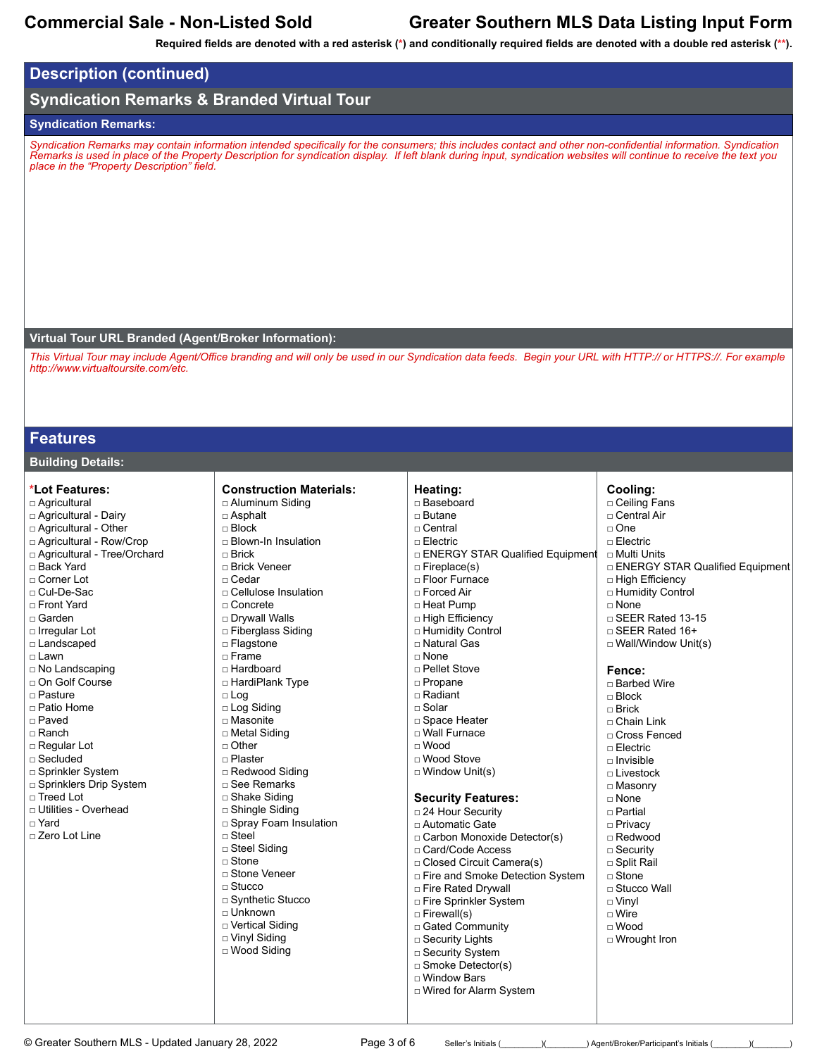**Required fields are denoted with a red asterisk (\*) and conditionally required fields are denoted with a double red asterisk (\*\*).**

## **Description (continued)**

## **Syndication Remarks & Branded Virtual Tour**

## **Syndication Remarks:**

*Syndication Remarks may contain information intended specifically for the consumers; this includes contact and other non-confidential information. Syndication Remarks is used in place of the Property Description for syndication display. If left blank during input, syndication websites will continue to receive the text you place in the "Property Description" field.*

## **Virtual Tour URL Branded (Agent/Broker Information):**

*This Virtual Tour may include Agent/Office branding and will only be used in our Syndication data feeds. Begin your URL with HTTP:// or HTTPS://. For example http://www.virtualtoursite.com/etc.*

## **Features**

## **Building Details:**

### **\*Lot Features:**

### □ Agricultural

□ Agricultural - Dairy □ Agricultural - Other

- □ Agricultural Row/Crop
- □ Agricultural Tree/Orchard
- □ Back Yard □ Corner Lot
- □ Cul-De-Sac
- □ Front Yard
- 
- □ Garden
- □ Irregular Lot □ Landscaped
- $\neg$  Lawn
- □ No Landscaping
- □ On Golf Course
- □ Pasture
- □ Patio Home
- □ Paved
- □ Ranch
- □ Regular Lot
- □ Secluded
- □ Sprinkler System
- □ Sprinklers Drip System
- □ Treed Lot
- □ Utilities Overhead
- □ Yard
- □ Zero Lot Line

## **Construction Materials:**

- □ Aluminum Siding
- □ Asphalt
- □ Block
- □ Blown-In Insulation
- □ Brick
- □ Brick Veneer
- □ Cedar
- □ Cellulose Insulation
- □ Concrete
- □ Drywall Walls
- □ Fiberglass Siding
- □ Flagstone
- □ Frame
- □ Hardboard
- □ HardiPlank Type
- □ Log □ Log Siding
- □ Masonite
- □ Metal Siding
- □ Other
- □ Plaster
- □ Redwood Siding
- □ See Remarks
- □ Shake Siding
- □ Shingle Siding
- □ Spray Foam Insulation
- □ Steel
- □ Steel Siding
- □ Stone □ Stone Veneer
- □ Stucco
- □ Synthetic Stucco
- □ Unknown
- □ Vertical Siding
- □ Vinyl Siding
- □ Wood Siding
- 
- □ Heat Pump □ High Efficiency
	- □ Humidity Control

□ Fireplace(s) □ Floor Furnace □ Forced Air

□ Natural Gas

**Heating:** □ Baseboard □ Butane □ Central □ Electric

- □ None
- □ Pellet Stove
- □ Propane
- □ Radiant
- □ Solar
- □ Space Heater
- □ Wall Furnace
- □ Wood
- □ Wood Stove
- □ Window Unit(s)

### **Security Features:**

- □ 24 Hour Security
- □ Automatic Gate
- □ Carbon Monoxide Detector(s)
- □ Card/Code Access
- □ Closed Circuit Camera(s)

□ ENERGY STAR Qualified Equipment □ Multi Units

**Cooling:** □ Ceiling Fans □ Central Air □ One □ Electric

□ High Efficiency □ Humidity Control

□ SEER Rated 13-15 □ SEER Rated 16+ □ Wall/Window Unit(s)

□ None

**Fence:** □ Barbed Wire  $\Box$  Block □ Brick □ Chain Link □ Cross Fenced □ Electric □ Invisible □ Livestock □ Masonry □ None □ Partial □ Privacy □ Redwood □ Security □ Split Rail □ Stone □ Stucco Wall □ Vinyl □ Wire □ Wood □ Wrought Iron

□ ENERGY STAR Qualified Equipment

□ Fire and Smoke Detection System

□ Wired for Alarm System

- □ Fire Rated Drywall
- □ Fire Sprinkler System
- □ Firewall(s)
- □ Gated Community
- □ Security Lights
- □ Security System □ Smoke Detector(s)
- □ Window Bars

© Greater Southern MLS - Updated January 28, 2022 Page 3 of 6 Seller's Initials (\_\_\_\_\_\_\_\_\_)(\_\_\_\_\_\_\_\_\_) Agent/Broker/Participant's Initials (\_\_\_\_\_\_\_\_)(\_\_\_\_\_\_\_\_)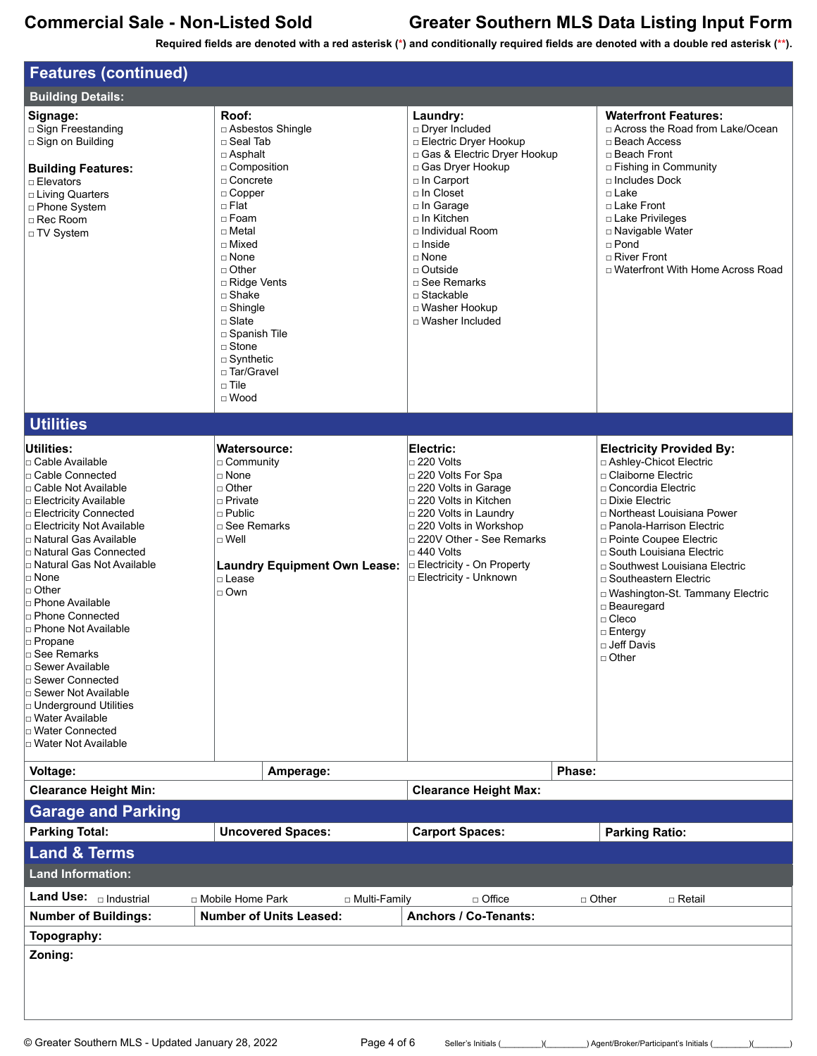| <b>Features (continued)</b>                                                                                                                                                                                                                                                                                                                                                                                                                                                                                                                                          |                                                                                                                                                                                                                                                                                                                                                    |                                     |                                                                                                                                                                                                                                                                                                                    |        |                                                                                                                                                                                                                                                                                                                                                                                                                                       |  |
|----------------------------------------------------------------------------------------------------------------------------------------------------------------------------------------------------------------------------------------------------------------------------------------------------------------------------------------------------------------------------------------------------------------------------------------------------------------------------------------------------------------------------------------------------------------------|----------------------------------------------------------------------------------------------------------------------------------------------------------------------------------------------------------------------------------------------------------------------------------------------------------------------------------------------------|-------------------------------------|--------------------------------------------------------------------------------------------------------------------------------------------------------------------------------------------------------------------------------------------------------------------------------------------------------------------|--------|---------------------------------------------------------------------------------------------------------------------------------------------------------------------------------------------------------------------------------------------------------------------------------------------------------------------------------------------------------------------------------------------------------------------------------------|--|
| <b>Building Details:</b>                                                                                                                                                                                                                                                                                                                                                                                                                                                                                                                                             |                                                                                                                                                                                                                                                                                                                                                    |                                     |                                                                                                                                                                                                                                                                                                                    |        |                                                                                                                                                                                                                                                                                                                                                                                                                                       |  |
| Signage:<br>□ Sign Freestanding<br>□ Sign on Building<br><b>Building Features:</b><br>□ Elevators<br>□ Living Quarters<br>□ Phone System<br>□ Rec Room<br>□ TV System                                                                                                                                                                                                                                                                                                                                                                                                | Roof:<br>□ Seal Tab<br>□ Asphalt<br>□ Composition<br>□ Concrete<br>$\Box$ Copper<br>$\Box$ Flat<br>$\Box$ Foam<br>□ Metal<br>□ Mixed<br>$\Box$ None<br>$\Box$ Other<br>□ Ridge Vents<br>$\Box$ Shake<br>$\Box$ Shingle<br>$\square$ Slate<br>□ Spanish Tile<br>$\Box$ Stone<br>$\square$ Synthetic<br>□ Tar/Gravel<br>$\sqcap$ Tile<br>$\Box$ Wood | □ Asbestos Shingle                  | Laundry:<br>Dryer Included<br>□ Electric Dryer Hookup<br>Gas & Electric Dryer Hookup<br>Gas Dryer Hookup<br>□ In Carport<br>□ In Closet<br>□ In Garage<br>□ In Kitchen<br>□ Individual Room<br>$\Box$ Inside<br>□ None<br>□ Outside<br>□ See Remarks<br>□ Stackable<br>□ Washer Hookup<br><b>D</b> Washer Included |        | <b>Waterfront Features:</b><br>□ Across the Road from Lake/Ocean<br>□ Beach Access<br>□ Beach Front<br>□ Fishing in Community<br>$\Box$ Includes Dock<br>$\Box$ l ake<br>□ Lake Front<br>□ Lake Privileges<br>□ Navigable Water<br>$\Box$ Pond<br>□ River Front<br>□ Waterfront With Home Across Road                                                                                                                                 |  |
| <b>Utilities</b>                                                                                                                                                                                                                                                                                                                                                                                                                                                                                                                                                     |                                                                                                                                                                                                                                                                                                                                                    |                                     |                                                                                                                                                                                                                                                                                                                    |        |                                                                                                                                                                                                                                                                                                                                                                                                                                       |  |
| Utilities:<br>$\Box$ Cable Available<br>□ Cable Connected<br>□ Cable Not Available<br>□ Electricity Available<br>□ Electricity Connected<br>□ Electricity Not Available<br>□ Natural Gas Available<br>□ Natural Gas Connected<br>□ Natural Gas Not Available<br>$\sqcap$ None<br>$\Box$ Other<br><b>Phone Available</b><br>□ Phone Connected<br>□ Phone Not Available<br>□ Propane<br>□ See Remarks<br>□ Sewer Available<br>□ Sewer Connected<br>□ Sewer Not Available<br>□ Underground Utilities<br>□ Water Available<br>□ Water Connected<br>□ Water Not Available | <b>Watersource:</b><br>□ Community<br>□ None<br>$\Box$ Other<br>□ Private<br>$\Box$ Public<br>□ See Remarks<br>$\Box$ Well<br>□ Lease<br>$\Box$ Own                                                                                                                                                                                                | <b>Laundry Equipment Own Lease:</b> | Electric:<br>$\Box$ 220 Volts<br>□ 220 Volts For Spa<br>$\Box$ 220 Volts in Garage<br>□ 220 Volts in Kitchen<br>□ 220 Volts in Laundry<br>□ 220 Volts in Workshop<br>□ 220V Other - See Remarks<br>$\Box$ 440 Volts<br><b>Electricity - On Property</b><br>□ Electricity - Unknown                                 |        | <b>Electricity Provided By:</b><br>□ Ashley-Chicot Electric<br>□ Claiborne Electric<br>□ Concordia Electric<br>□ Dixie Electric<br>□ Northeast Louisiana Power<br>□ Panola-Harrison Electric<br>□ Pointe Coupee Electric<br>□ South Louisiana Electric<br>□ Southwest Louisiana Electric<br>□ Southeastern Electric<br>□ Washington-St. Tammany Electric<br>□ Beauregard<br>$\Box$ Cleco<br>$\Box$ Entergy<br>□ Jeff Davis<br>□ Other |  |
| Voltage:                                                                                                                                                                                                                                                                                                                                                                                                                                                                                                                                                             |                                                                                                                                                                                                                                                                                                                                                    | Amperage:                           |                                                                                                                                                                                                                                                                                                                    | Phase: |                                                                                                                                                                                                                                                                                                                                                                                                                                       |  |
| <b>Clearance Height Min:</b>                                                                                                                                                                                                                                                                                                                                                                                                                                                                                                                                         |                                                                                                                                                                                                                                                                                                                                                    |                                     | <b>Clearance Height Max:</b>                                                                                                                                                                                                                                                                                       |        |                                                                                                                                                                                                                                                                                                                                                                                                                                       |  |
| <b>Garage and Parking</b>                                                                                                                                                                                                                                                                                                                                                                                                                                                                                                                                            |                                                                                                                                                                                                                                                                                                                                                    |                                     |                                                                                                                                                                                                                                                                                                                    |        |                                                                                                                                                                                                                                                                                                                                                                                                                                       |  |
| <b>Parking Total:</b>                                                                                                                                                                                                                                                                                                                                                                                                                                                                                                                                                |                                                                                                                                                                                                                                                                                                                                                    | <b>Uncovered Spaces:</b>            | <b>Carport Spaces:</b>                                                                                                                                                                                                                                                                                             |        | <b>Parking Ratio:</b>                                                                                                                                                                                                                                                                                                                                                                                                                 |  |
| <b>Land &amp; Terms</b><br><b>Land Information:</b>                                                                                                                                                                                                                                                                                                                                                                                                                                                                                                                  |                                                                                                                                                                                                                                                                                                                                                    |                                     |                                                                                                                                                                                                                                                                                                                    |        |                                                                                                                                                                                                                                                                                                                                                                                                                                       |  |
| Land Use: <b>Dindustrial</b>                                                                                                                                                                                                                                                                                                                                                                                                                                                                                                                                         | □ Mobile Home Park                                                                                                                                                                                                                                                                                                                                 | □ Multi-Family                      | □ Office                                                                                                                                                                                                                                                                                                           |        | □ Other<br>□ Retail                                                                                                                                                                                                                                                                                                                                                                                                                   |  |
| <b>Number of Buildings:</b>                                                                                                                                                                                                                                                                                                                                                                                                                                                                                                                                          |                                                                                                                                                                                                                                                                                                                                                    | <b>Number of Units Leased:</b>      | <b>Anchors / Co-Tenants:</b>                                                                                                                                                                                                                                                                                       |        |                                                                                                                                                                                                                                                                                                                                                                                                                                       |  |
| Topography:                                                                                                                                                                                                                                                                                                                                                                                                                                                                                                                                                          |                                                                                                                                                                                                                                                                                                                                                    |                                     |                                                                                                                                                                                                                                                                                                                    |        |                                                                                                                                                                                                                                                                                                                                                                                                                                       |  |
| Zoning:                                                                                                                                                                                                                                                                                                                                                                                                                                                                                                                                                              |                                                                                                                                                                                                                                                                                                                                                    |                                     |                                                                                                                                                                                                                                                                                                                    |        |                                                                                                                                                                                                                                                                                                                                                                                                                                       |  |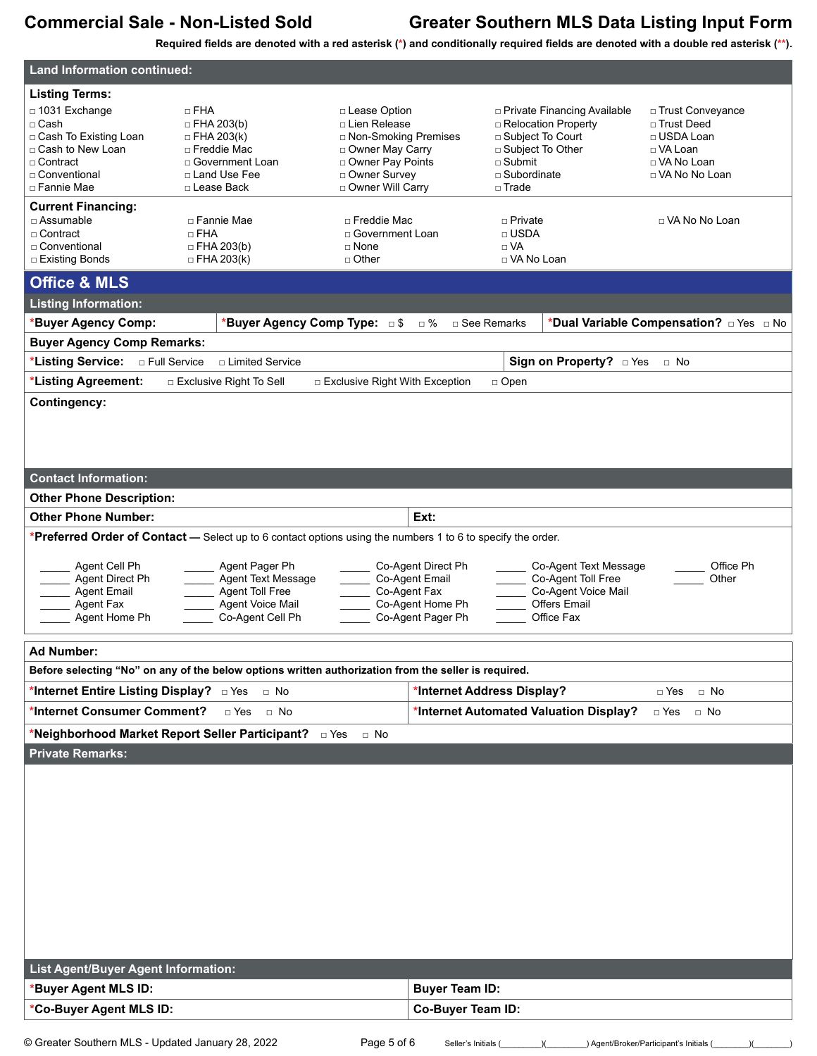| <b>Land Information continued:</b>                                                                                              |                                                                                                                              |                                                                                                                                               |                                                                                                                                                 |                                                                                                   |
|---------------------------------------------------------------------------------------------------------------------------------|------------------------------------------------------------------------------------------------------------------------------|-----------------------------------------------------------------------------------------------------------------------------------------------|-------------------------------------------------------------------------------------------------------------------------------------------------|---------------------------------------------------------------------------------------------------|
| <b>Listing Terms:</b>                                                                                                           |                                                                                                                              |                                                                                                                                               |                                                                                                                                                 |                                                                                                   |
| □ 1031 Exchange<br>$\Box$ Cash<br>□ Cash To Existing Loan<br>□ Cash to New Loan<br>□ Contract<br>□ Conventional<br>□ Fannie Mae | $\Box$ FHA<br>$\Box$ FHA 203(b)<br>$\Box$ FHA 203(k)<br>□ Freddie Mac<br>□ Government Loan<br>□ Land Use Fee<br>□ Lease Back | □ Lease Option<br>□ Lien Release<br>□ Non-Smoking Premises<br>□ Owner May Carry<br>□ Owner Pay Points<br>□ Owner Survey<br>□ Owner Will Carry | □ Private Financing Available<br>□ Relocation Property<br>□ Subject To Court<br>□ Subject To Other<br>$\Box$ Submit<br>□ Subordinate<br>□ Trade | □ Trust Conveyance<br>□ Trust Deed<br>□ USDA Loan<br>□ VA Loan<br>□ VA No Loan<br>□ VA No No Loan |
| <b>Current Financing:</b>                                                                                                       |                                                                                                                              |                                                                                                                                               |                                                                                                                                                 |                                                                                                   |
| □ Assumable<br>□ Contract<br>□ Conventional<br>□ Existing Bonds                                                                 | □ Fannie Mae<br>$\Box$ FHA<br>$\Box$ FHA 203(b)<br>$\Box$ FHA 203(k)                                                         | □ Freddie Mac<br>□ Government Loan<br>$\Box$ None<br>$\Box$ Other                                                                             | $\Box$ Private<br>$\Box$ USDA<br>$\Box$ VA<br>□ VA No Loan                                                                                      | □ VA No No Loan                                                                                   |
| <b>Office &amp; MLS</b>                                                                                                         |                                                                                                                              |                                                                                                                                               |                                                                                                                                                 |                                                                                                   |
| <b>Listing Information:</b><br>*Buyer Agency Comp:                                                                              | *Buyer Agency Comp Type: 5                                                                                                   | $\Box$ %                                                                                                                                      | □ See Remarks                                                                                                                                   | *Dual Variable Compensation? DYes D No                                                            |
| <b>Buyer Agency Comp Remarks:</b>                                                                                               |                                                                                                                              |                                                                                                                                               |                                                                                                                                                 |                                                                                                   |
| *Listing Service:<br>□ Full Service                                                                                             | □ Limited Service                                                                                                            |                                                                                                                                               | Sign on Property? <b>Divides</b>                                                                                                                | $\Box$ No                                                                                         |
| *Listing Agreement:                                                                                                             | □ Exclusive Right To Sell                                                                                                    | □ Exclusive Right With Exception                                                                                                              | $\Box$ Open                                                                                                                                     |                                                                                                   |
| <b>Contingency:</b>                                                                                                             |                                                                                                                              |                                                                                                                                               |                                                                                                                                                 |                                                                                                   |
| <b>Contact Information:</b>                                                                                                     |                                                                                                                              |                                                                                                                                               |                                                                                                                                                 |                                                                                                   |
| <b>Other Phone Description:</b>                                                                                                 |                                                                                                                              |                                                                                                                                               |                                                                                                                                                 |                                                                                                   |
| <b>Other Phone Number:</b>                                                                                                      |                                                                                                                              | Ext:                                                                                                                                          |                                                                                                                                                 |                                                                                                   |
| Agent Cell Ph                                                                                                                   | Agent Pager Ph                                                                                                               | *Preferred Order of Contact - Select up to 6 contact options using the numbers 1 to 6 to specify the order.<br>Co-Agent Direct Ph             | Co-Agent Text Message                                                                                                                           | Office Ph                                                                                         |
| Agent Direct Ph<br><b>Agent Email</b><br>Agent Fax<br>Agent Home Ph                                                             | Agent Text Message<br>Agent Toll Free<br>Agent Voice Mail<br>Co-Agent Cell Ph                                                | Co-Agent Email<br>Co-Agent Fax<br>Co-Agent Home Ph<br>Co-Agent Pager Ph                                                                       | Co-Agent Toll Free<br>Co-Agent Voice Mail<br><b>Offers Email</b><br>Office Fax                                                                  | Other                                                                                             |
| <b>Ad Number:</b>                                                                                                               |                                                                                                                              |                                                                                                                                               |                                                                                                                                                 |                                                                                                   |
|                                                                                                                                 |                                                                                                                              | Before selecting "No" on any of the below options written authorization from the seller is required.                                          |                                                                                                                                                 |                                                                                                   |
| *Internet Entire Listing Display? <b>Dives</b> D No                                                                             |                                                                                                                              |                                                                                                                                               | *Internet Address Display?                                                                                                                      | $\Box$ No<br>□ Yes                                                                                |
| *Internet Consumer Comment?                                                                                                     | □ Yes □ No                                                                                                                   |                                                                                                                                               | *Internet Automated Valuation Display?                                                                                                          | $\Box$ Yes<br>$\Box$ No                                                                           |
|                                                                                                                                 | *Neighborhood Market Report Seller Participant? Dies                                                                         | $\Box$ No                                                                                                                                     |                                                                                                                                                 |                                                                                                   |
| <b>Private Remarks:</b>                                                                                                         |                                                                                                                              |                                                                                                                                               |                                                                                                                                                 |                                                                                                   |
|                                                                                                                                 |                                                                                                                              |                                                                                                                                               |                                                                                                                                                 |                                                                                                   |
| List Agent/Buyer Agent Information:                                                                                             |                                                                                                                              |                                                                                                                                               |                                                                                                                                                 |                                                                                                   |
| <b>Buyer Agent MLS ID:</b>                                                                                                      |                                                                                                                              | <b>Buyer Team ID:</b>                                                                                                                         |                                                                                                                                                 |                                                                                                   |
| *Co-Buyer Agent MLS ID:                                                                                                         |                                                                                                                              | Co-Buyer Team ID:                                                                                                                             |                                                                                                                                                 |                                                                                                   |